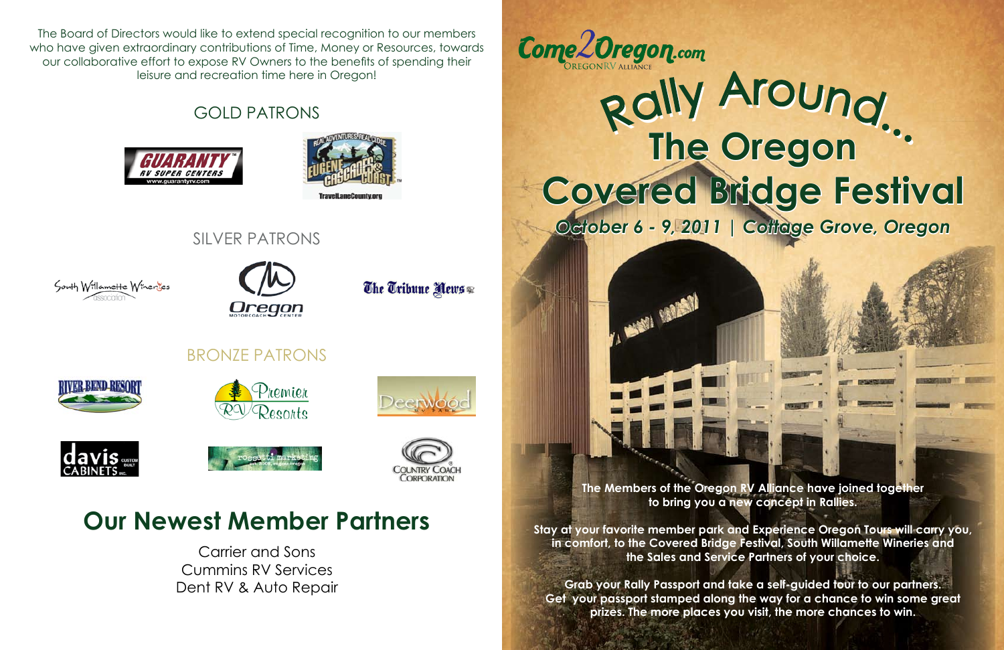The Board of Directors would like to extend special recognition to our members who have given extraordinary contributions of Time, Money or Resources, towards our collaborative effort to expose RV Owners to the benefits of spending their leisure and recreation time here in Oregon!

> **The Members of the Oregon RV Alliance have joined together to bring you a new concept in Rallies.**

## Rally Around... **The Oregon Covered Bridge Festival**

**Stay at your favorite member park and Experience Oregon Tours will carry you, in comfort, to the Covered Bridge Festival, South Willamette Wineries and the Sales and Service Partners of your choice.**

**Grab your Rally Passport and take a self-guided tour to our partners. Get your passport stamped along the way for a chance to win some great prizes. The more places you visit, the more chances to win.**

GOLD PATRONS









The Tribune News

## **Our Newest Member Partners**

Carrier and Sons Cummins RV Services Dent RV & Auto Repair



## BRONZE PATRONS